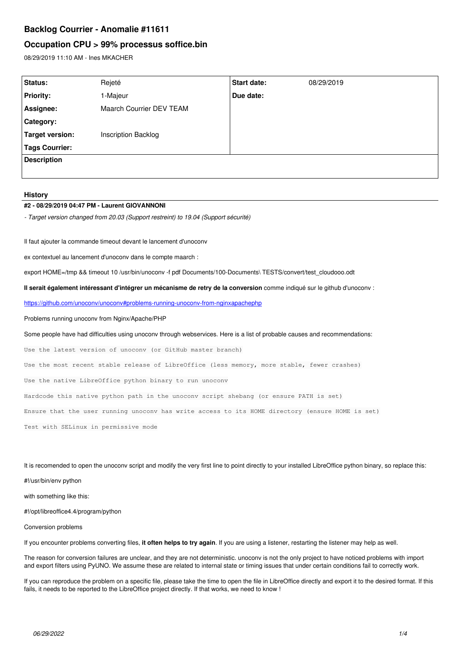# **Backlog Courrier - Anomalie #11611**

# **Occupation CPU > 99% processus soffice.bin**

08/29/2019 11:10 AM - Ines MKACHER

| Status:            | Rejeté                   | <b>Start date:</b> | 08/29/2019 |
|--------------------|--------------------------|--------------------|------------|
| <b>Priority:</b>   | I-Majeur                 | Due date:          |            |
| Assignee:          | Maarch Courrier DEV TEAM |                    |            |
| Category:          |                          |                    |            |
| Target version:    | Inscription Backlog      |                    |            |
| Tags Courrier:     |                          |                    |            |
| <b>Description</b> |                          |                    |            |
|                    |                          |                    |            |

#### **History**

#### **#2 - 08/29/2019 04:47 PM - Laurent GIOVANNONI**

*- Target version changed from 20.03 (Support restreint) to 19.04 (Support sécurité)*

Il faut ajouter la commande timeout devant le lancement d'unoconv

ex contextuel au lancement d'unoconv dans le compte maarch :

export HOME=/tmp && timeout 10 /usr/bin/unoconv -f pdf Documents/100-Documents\ TESTS/convert/test\_cloudooo.odt

**Il serait également intéressant d'intégrer un mécanisme de retry de la conversion** comme indiqué sur le github d'unoconv :

<https://github.com/unoconv/unoconv#problems-running-unoconv-from-nginxapachephp>

Problems running unoconv from Nginx/Apache/PHP

Some people have had difficulties using unoconv through webservices. Here is a list of probable causes and recommendations:

Use the latest version of unoconv (or GitHub master branch)

Use the most recent stable release of LibreOffice (less memory, more stable, fewer crashes)

Use the native LibreOffice python binary to run unoconv

Hardcode this native python path in the unoconv script shebang (or ensure PATH is set)

Ensure that the user running unoconv has write access to its HOME directory (ensure HOME is set)

Test with SELinux in permissive mode

It is recomended to open the unoconv script and modify the very first line to point directly to your installed LibreOffice python binary, so replace this:

#!/usr/bin/env python

with something like this:

#!/opt/libreoffice4.4/program/python

Conversion problems

If you encounter problems converting files, **it often helps to try again**. If you are using a listener, restarting the listener may help as well.

The reason for conversion failures are unclear, and they are not deterministic. unoconv is not the only project to have noticed problems with import and export filters using PyUNO. We assume these are related to internal state or timing issues that under certain conditions fail to correctly work.

If you can reproduce the problem on a specific file, please take the time to open the file in LibreOffice directly and export it to the desired format. If this fails, it needs to be reported to the LibreOffice project directly. If that works, we need to know !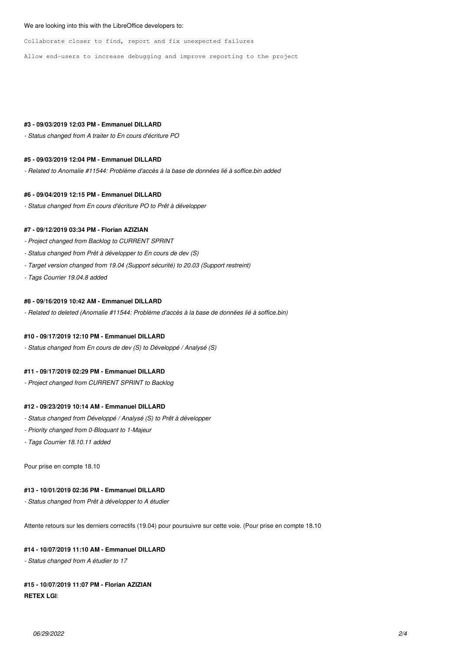#### We are looking into this with the LibreOffice developers to:

Collaborate closer to find, report and fix unexpected failures

Allow end-users to increase debugging and improve reporting to the project

### **#3 - 09/03/2019 12:03 PM - Emmanuel DILLARD**

*- Status changed from A traiter to En cours d'écriture PO*

### **#5 - 09/03/2019 12:04 PM - Emmanuel DILLARD**

*- Related to Anomalie #11544: Problème d'accès à la base de données lié à soffice.bin added*

#### **#6 - 09/04/2019 12:15 PM - Emmanuel DILLARD**

*- Status changed from En cours d'écriture PO to Prêt à développer*

### **#7 - 09/12/2019 03:34 PM - Florian AZIZIAN**

- *Project changed from Backlog to CURRENT SPRINT*
- *Status changed from Prêt à développer to En cours de dev (S)*
- *Target version changed from 19.04 (Support sécurité) to 20.03 (Support restreint)*
- *Tags Courrier 19.04.8 added*

#### **#8 - 09/16/2019 10:42 AM - Emmanuel DILLARD**

*- Related to deleted (Anomalie #11544: Problème d'accès à la base de données lié à soffice.bin)*

## **#10 - 09/17/2019 12:10 PM - Emmanuel DILLARD**

*- Status changed from En cours de dev (S) to Développé / Analysé (S)*

## **#11 - 09/17/2019 02:29 PM - Emmanuel DILLARD**

*- Project changed from CURRENT SPRINT to Backlog*

## **#12 - 09/23/2019 10:14 AM - Emmanuel DILLARD**

- *Status changed from Développé / Analysé (S) to Prêt à développer*
- *Priority changed from 0-Bloquant to 1-Majeur*
- *Tags Courrier 18.10.11 added*

Pour prise en compte 18.10

### **#13 - 10/01/2019 02:36 PM - Emmanuel DILLARD**

*- Status changed from Prêt à développer to A étudier*

Attente retours sur les derniers correctifs (19.04) pour poursuivre sur cette voie. (Pour prise en compte 18.10

### **#14 - 10/07/2019 11:10 AM - Emmanuel DILLARD**

*- Status changed from A étudier to 17*

#### **#15 - 10/07/2019 11:07 PM - Florian AZIZIAN**

## **RETEX LGI**: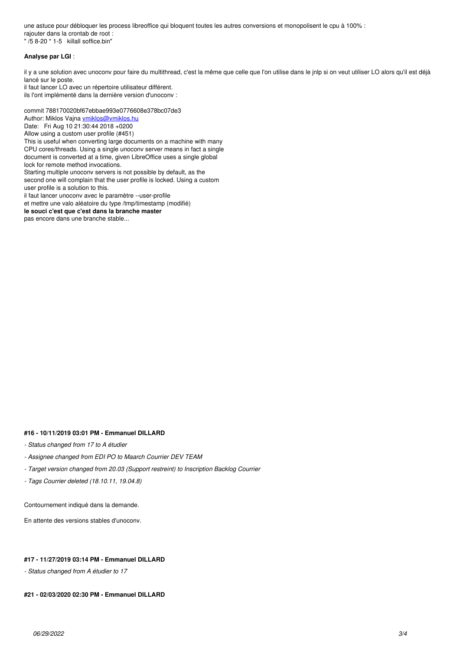une astuce pour débloquer les process libreoffice qui bloquent toutes les autres conversions et monopolisent le cpu à 100% : rajouter dans la crontab de root : " /5 8-20 \* 1-5 killall soffice.bin"

### **Analyse par LGI** :

il y a une solution avec unoconv pour faire du multithread, c'est la même que celle que l'on utilise dans le jnlp si on veut utiliser LO alors qu'il est déjà lancé sur le poste.

il faut lancer LO avec un répertoire utilisateur différent. ils l'ont implémenté dans la dernière version d'unoconv :

commit 788170020bf67ebbae993e0776608e378bc07de3 Author: Miklos Vajna [vmiklos@vmiklos.hu](mailto:vmiklos@vmiklos.hu) Date: Fri Aug 10 21:30:44 2018 +0200 Allow using a custom user profile (#451) This is useful when converting large documents on a machine with many CPU cores/threads. Using a single unoconv server means in fact a single document is converted at a time, given LibreOffice uses a single global lock for remote method invocations. Starting multiple unoconv servers is not possible by default, as the

second one will complain that the user profile is locked. Using a custom user profile is a solution to this.

il faut lancer unoconv avec le paramètre --user-profile

et mettre une valo aléatoire du type /tmp/timestamp (modifié)

**le souci c'est que c'est dans la branche master**

pas encore dans une branche stable...

#### **#16 - 10/11/2019 03:01 PM - Emmanuel DILLARD**

### *- Status changed from 17 to A étudier*

*- Assignee changed from EDI PO to Maarch Courrier DEV TEAM*

*- Target version changed from 20.03 (Support restreint) to Inscription Backlog Courrier*

*- Tags Courrier deleted (18.10.11, 19.04.8)*

Contournement indiqué dans la demande.

En attente des versions stables d'unoconv.

### **#17 - 11/27/2019 03:14 PM - Emmanuel DILLARD**

*- Status changed from A étudier to 17*

### **#21 - 02/03/2020 02:30 PM - Emmanuel DILLARD**